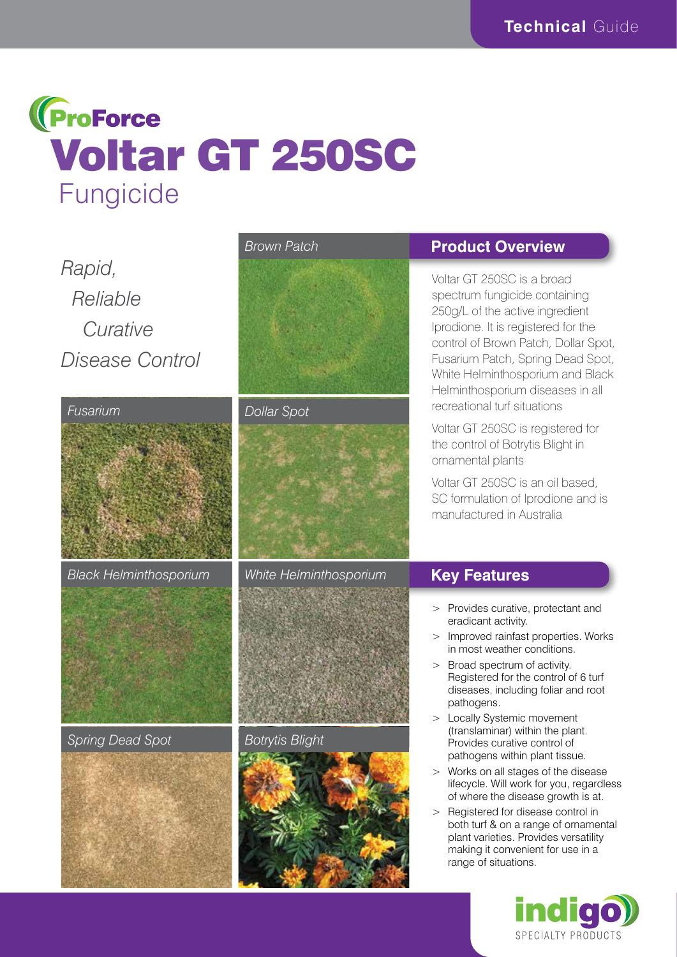

# *Rapid, Reliable Curative Disease Control*



*Black Helminthosporium White Helminthosporium*



### *Spring Dead Spot Botrytis Blight*











## **Product Overview**

Voltar GT 250SC is a broad spectrum fungicide containing 250g/L of the active ingredient Iprodione. It is registered for the control of Brown Patch, Dollar Spot, Fusarium Patch, Spring Dead Spot, White Helminthosporium and Black Helminthosporium diseases in all recreational turf situations

Voltar GT 250SC is registered for the control of Botrytis Blight in ornamental plants

Voltar GT 250SC is an oil based, SC formulation of Iprodione and is manufactured in Australia

# **Key Features**

- > Provides curative, protectant and eradicant activity.
- > Improved rainfast properties. Works in most weather conditions.
- > Broad spectrum of activity. Registered for the control of 6 turf diseases, including foliar and root pathogens.
- > Locally Systemic movement (translaminar) within the plant. Provides curative control of pathogens within plant tissue.
- > Works on all stages of the disease lifecycle. Will work for you, regardless of where the disease growth is at.
- > Registered for disease control in both turf & on a range of ornamental plant varieties. Provides versatility making it convenient for use in a range of situations.